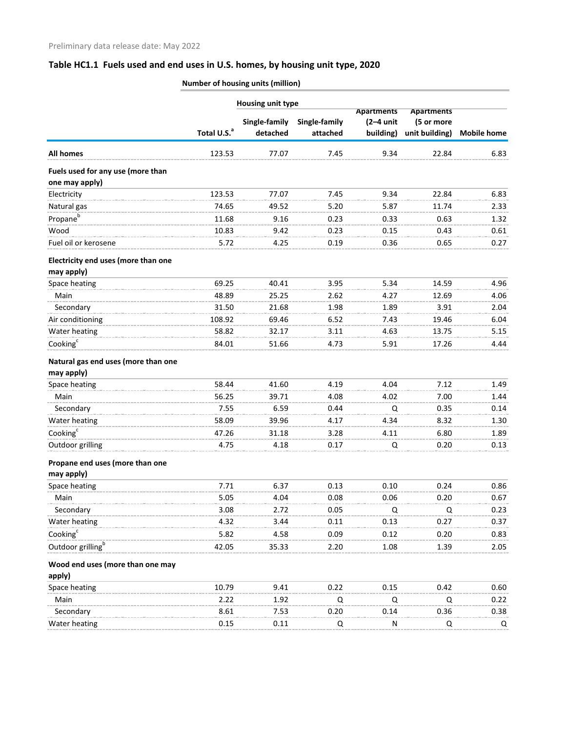## **Table HC1.1 Fuels used and end uses in U.S. homes, by housing unit type, 2020**

**Number of housing units (million)**

|                                                     |                         | Housing unit type         |                           | <b>Apartments</b><br>$(2-4$ unit<br>building) | <b>Apartments</b><br>(5 or more<br>unit building) | <b>Mobile home</b> |
|-----------------------------------------------------|-------------------------|---------------------------|---------------------------|-----------------------------------------------|---------------------------------------------------|--------------------|
|                                                     | Total U.S. <sup>a</sup> | Single-family<br>detached | Single-family<br>attached |                                               |                                                   |                    |
| <b>All homes</b>                                    | 123.53                  | 77.07                     | 7.45                      | 9.34                                          | 22.84                                             | 6.83               |
| Fuels used for any use (more than<br>one may apply) |                         |                           |                           |                                               |                                                   |                    |
| Electricity                                         | 123.53                  | 77.07                     | 7.45                      | 9.34                                          | 22.84                                             | 6.83               |
| Natural gas                                         | 74.65                   | 49.52                     | 5.20                      | 5.87                                          | 11.74                                             | 2.33               |
| Propane <sup>b</sup>                                | 11.68                   | 9.16                      | 0.23                      | 0.33                                          | 0.63                                              | 1.32               |
| Wood                                                | 10.83                   | 9.42                      | 0.23                      | 0.15                                          | 0.43                                              | 0.61               |
| Fuel oil or kerosene                                | 5.72                    | 4.25                      | 0.19                      | 0.36                                          | 0.65                                              | 0.27               |
| Electricity end uses (more than one<br>may apply)   |                         |                           |                           |                                               |                                                   |                    |
| Space heating                                       | 69.25                   | 40.41                     | 3.95                      | 5.34                                          | 14.59                                             | 4.96               |
| Main                                                | 48.89                   | 25.25                     | 2.62                      | 4.27                                          | 12.69                                             | 4.06               |
| Secondary                                           | 31.50                   | 21.68                     | 1.98                      | 1.89                                          | 3.91                                              | 2.04               |
| Air conditioning                                    | 108.92                  | 69.46                     | 6.52                      | 7.43                                          | 19.46                                             | 6.04               |
| Water heating                                       | 58.82                   | 32.17                     | 3.11                      | 4.63                                          | 13.75                                             | 5.15               |
| Cooking <sup>c</sup>                                | 84.01                   | 51.66                     | 4.73                      | 5.91                                          | 17.26                                             | 4.44               |
| Natural gas end uses (more than one<br>may apply)   |                         |                           |                           |                                               |                                                   |                    |
| Space heating                                       | 58.44                   | 41.60                     | 4.19                      | 4.04                                          | 7.12                                              | 1.49               |
| Main                                                | 56.25                   | 39.71                     | 4.08                      | 4.02                                          | 7.00                                              | 1.44               |
| Secondary                                           | 7.55                    | 6.59                      | 0.44                      | Q                                             | 0.35                                              | 0.14               |
| Water heating                                       | 58.09                   | 39.96                     | 4.17                      | 4.34                                          | 8.32                                              | 1.30               |
| Cooking <sup>c</sup>                                | 47.26                   | 31.18                     | 3.28                      | 4.11                                          | 6.80                                              | 1.89               |
| Outdoor grilling                                    | 4.75                    | 4.18                      | 0.17                      | Q                                             | 0.20                                              | 0.13               |
| Propane end uses (more than one<br>may apply)       |                         |                           |                           |                                               |                                                   |                    |
| Space heating                                       | 7.71                    | 6.37                      | 0.13                      | 0.10                                          | 0.24                                              | 0.86               |
| Main                                                | 5.05                    | 4.04                      | 0.08                      | 0.06                                          | 0.20                                              | 0.67               |
| Secondary                                           | 3.08                    | 2.72                      | 0.05                      | Q                                             | Q                                                 | 0.23               |
| Water heating                                       | 4.32                    | 3.44                      | 0.11                      | 0.13                                          | 0.27                                              | 0.37               |
| Cooking <sup>c</sup>                                | 5.82                    | 4.58                      | 0.09                      | 0.12                                          | 0.20                                              | 0.83               |
| Outdoor grilling <sup>b</sup>                       | 42.05                   | 35.33                     | 2.20                      | 1.08                                          | 1.39                                              | 2.05               |
| Wood end uses (more than one may                    |                         |                           |                           |                                               |                                                   |                    |
| apply)                                              |                         |                           |                           |                                               |                                                   |                    |
| Space heating                                       | 10.79                   | 9.41                      | 0.22                      | 0.15                                          | 0.42                                              | 0.60               |
| Main                                                | 2.22                    | 1.92                      | Q                         | Q                                             | Q                                                 | 0.22               |
| Secondary                                           | 8.61                    | 7.53                      | 0.20                      | 0.14                                          | 0.36                                              | 0.38               |
| Water heating                                       | 0.15                    | 0.11                      | Q                         | ${\sf N}$                                     | Q                                                 | Q                  |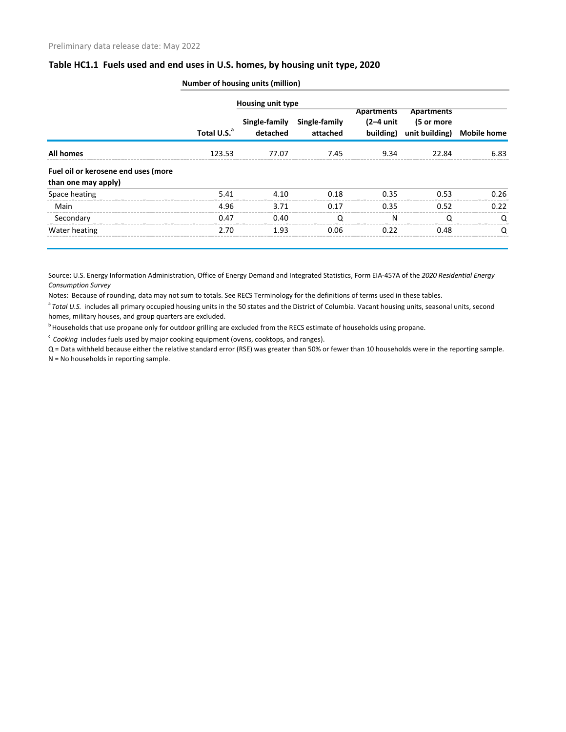## **Table HC1.1 Fuels used and end uses in U.S. homes, by housing unit type, 2020**

|                                                            |                         | <b>Housing unit type</b> |                                         |      |                                                                                                            |      |
|------------------------------------------------------------|-------------------------|--------------------------|-----------------------------------------|------|------------------------------------------------------------------------------------------------------------|------|
|                                                            | Total U.S. <sup>a</sup> | detached                 | Single-family Single-family<br>attached |      | Apartments Apartments<br>$(2-4 \text{ unit}$ $(5 \text{ or more})$<br>building) unit building) Mobile home |      |
| <b>All homes</b>                                           | 123.53                  | 77.07                    | 7.45                                    | 9.34 | 22 RA                                                                                                      | 6.83 |
| Fuel oil or kerosene end uses (more<br>than one may apply) |                         |                          |                                         |      |                                                                                                            |      |
| Space heating                                              | 5.41                    | 4 1 0                    | 0.18                                    | 0.35 | <u>በ 53</u>                                                                                                | 0.26 |
| Main                                                       | 4.96                    | 3.71                     | በ 17                                    | 0.35 | 0.52                                                                                                       | 0.22 |
| Secondary                                                  | 0.47                    | 0.40                     | ∩                                       | N    |                                                                                                            | ∩    |
| Water heating                                              | 2.70                    | 1.93                     | 0.06                                    | በ 22 | 0.48                                                                                                       |      |

**Number of housing units (million)**

Source: U.S. Energy Information Administration, Office of Energy Demand and Integrated Statistics, Form EIA-457A of the *2020 Residential Energy Consumption Survey*

Notes: Because of rounding, data may not sum to totals. See RECS Terminology for the definitions of terms used in these tables.

<sup>a</sup> Total U.S. includes all primary occupied housing units in the 50 states and the District of Columbia. Vacant housing units, seasonal units, second homes, military houses, and group quarters are excluded.

<sup>b</sup> Households that use propane only for outdoor grilling are excluded from the RECS estimate of households using propane.

<sup>c</sup> Cooking includes fuels used by major cooking equipment (ovens, cooktops, and ranges).

Q = Data withheld because either the relative standard error (RSE) was greater than 50% or fewer than 10 households were in the reporting sample. N = No households in reporting sample.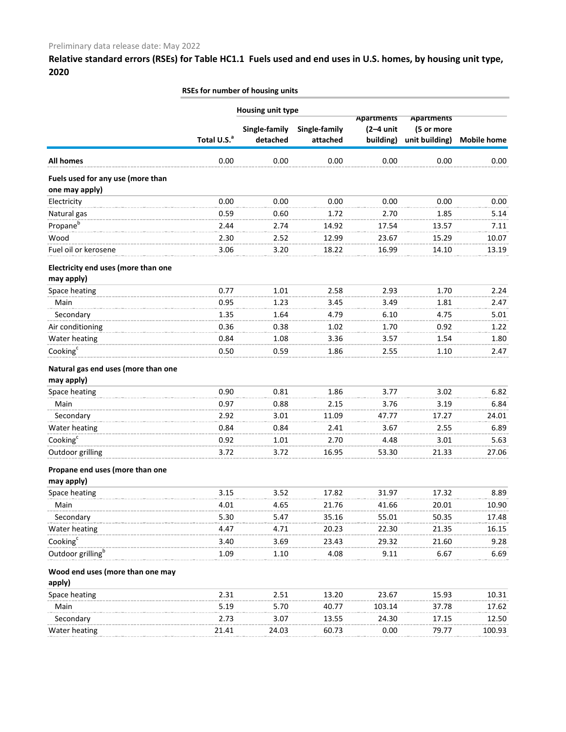**Relative standard errors (RSEs) for Table HC1.1 Fuels used and end uses in U.S. homes, by housing unit type, 2020**

|                                            | RSEs for number of housing units |                          |               |             |                                 |                    |  |
|--------------------------------------------|----------------------------------|--------------------------|---------------|-------------|---------------------------------|--------------------|--|
|                                            |                                  | <b>Housing unit type</b> |               | Apartments  |                                 |                    |  |
|                                            |                                  | Single-family            | Single-family | $(2-4$ unit | <b>Apartments</b><br>(5 or more |                    |  |
|                                            | Total U.S. <sup>a</sup>          | detached                 | attached      | building)   | unit building)                  | <b>Mobile home</b> |  |
| <b>All homes</b>                           | 0.00                             | 0.00                     | 0.00          | 0.00        | 0.00                            | 0.00               |  |
| Fuels used for any use (more than          |                                  |                          |               |             |                                 |                    |  |
| one may apply)                             |                                  |                          |               |             |                                 |                    |  |
| Electricity                                | 0.00                             | 0.00                     | 0.00          | 0.00        | 0.00                            | 0.00               |  |
| Natural gas                                | 0.59                             | 0.60                     | 1.72          | 2.70        | 1.85                            | 5.14               |  |
| Propane <sup>b</sup>                       | 2.44                             | 2.74                     | 14.92         | 17.54       | 13.57                           | 7.11               |  |
| Wood                                       | 2.30                             | 2.52                     | 12.99         | 23.67       | 15.29                           | 10.07              |  |
| Fuel oil or kerosene                       | 3.06                             | 3.20                     | 18.22         | 16.99       | 14.10                           | 13.19              |  |
| Electricity end uses (more than one        |                                  |                          |               |             |                                 |                    |  |
| may apply)                                 |                                  |                          |               |             |                                 |                    |  |
| Space heating                              | 0.77                             | 1.01                     | 2.58          | 2.93        | 1.70                            | 2.24               |  |
| Main                                       | 0.95                             | 1.23                     | 3.45          | 3.49        | 1.81                            | 2.47               |  |
| Secondary                                  | 1.35                             | 1.64                     | 4.79          | 6.10        | 4.75                            | 5.01               |  |
| Air conditioning                           | 0.36                             | 0.38                     | 1.02          | 1.70        | 0.92                            | 1.22               |  |
| Water heating                              | 0.84                             | 1.08                     | 3.36          | 3.57        | 1.54                            | 1.80               |  |
| Cooking <sup>c</sup>                       | 0.50                             | 0.59                     | 1.86          | 2.55        | 1.10                            | 2.47               |  |
| Natural gas end uses (more than one        |                                  |                          |               |             |                                 |                    |  |
| may apply)                                 |                                  |                          |               |             |                                 |                    |  |
| Space heating                              | 0.90                             | 0.81                     | 1.86          | 3.77        | 3.02                            | 6.82               |  |
| Main                                       | 0.97                             | 0.88                     | 2.15          | 3.76        | 3.19                            | 6.84               |  |
| Secondary                                  | 2.92                             | 3.01                     | 11.09         | 47.77       | 17.27                           | 24.01              |  |
| Water heating                              | 0.84                             | 0.84                     | 2.41          | 3.67        | 2.55                            | 6.89               |  |
| Cooking <sup>c</sup>                       | 0.92                             | 1.01                     | 2.70          | 4.48        | 3.01                            | 5.63               |  |
| Outdoor grilling                           | 3.72                             | 3.72                     | 16.95         | 53.30       | 21.33                           | 27.06              |  |
| Propane end uses (more than one            |                                  |                          |               |             |                                 |                    |  |
| may apply)                                 |                                  |                          |               |             |                                 |                    |  |
| Space heating                              | 3.15                             | 3.52                     | 17.82         | 31.97       | 17.32                           | 8.89               |  |
| Main                                       | 4.01                             | 4.65                     | 21.76         | 41.66       | 20.01                           | 10.90              |  |
| Secondary                                  | 5.30                             | 5.47                     | 35.16         | 55.01       | 50.35                           | 17.48              |  |
| Water heating                              | 4.47                             | 4.71                     | 20.23         | 22.30       | 21.35                           | 16.15              |  |
| Cooking <sup>c</sup>                       | 3.40                             | 3.69                     | 23.43         | 29.32       | 21.60                           | 9.28               |  |
| Outdoor grilling <sup>b</sup>              | 1.09                             | 1.10                     | 4.08          | 9.11        | 6.67                            | 6.69               |  |
| Wood end uses (more than one may<br>apply) |                                  |                          |               |             |                                 |                    |  |
| Space heating                              | 2.31                             | 2.51                     | 13.20         | 23.67       | 15.93                           | 10.31              |  |
| Main                                       | 5.19                             | 5.70                     | 40.77         | 103.14      | 37.78                           | 17.62              |  |
|                                            | 2.73                             | 3.07                     | 13.55         | 24.30       | 17.15                           | 12.50              |  |
| Secondary                                  |                                  |                          |               |             |                                 |                    |  |